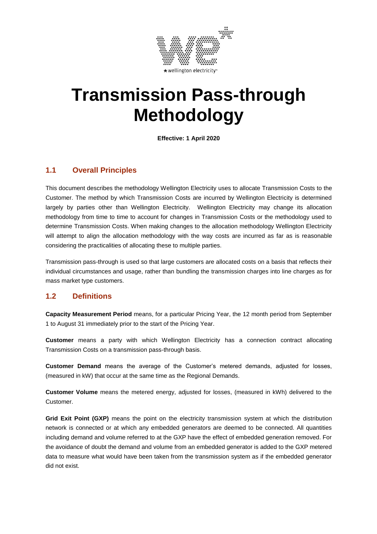

# **Transmission Pass-through Methodology**

**Effective: 1 April 2020**

## **1.1 Overall Principles**

This document describes the methodology Wellington Electricity uses to allocate Transmission Costs to the Customer. The method by which Transmission Costs are incurred by Wellington Electricity is determined largely by parties other than Wellington Electricity. Wellington Electricity may change its allocation methodology from time to time to account for changes in Transmission Costs or the methodology used to determine Transmission Costs. When making changes to the allocation methodology Wellington Electricity will attempt to align the allocation methodology with the way costs are incurred as far as is reasonable considering the practicalities of allocating these to multiple parties.

Transmission pass-through is used so that large customers are allocated costs on a basis that reflects their individual circumstances and usage, rather than bundling the transmission charges into line charges as for mass market type customers.

#### **1.2 Definitions**

**Capacity Measurement Period** means, for a particular Pricing Year, the 12 month period from September 1 to August 31 immediately prior to the start of the Pricing Year.

**Customer** means a party with which Wellington Electricity has a connection contract allocating Transmission Costs on a transmission pass-through basis.

**Customer Demand** means the average of the Customer's metered demands, adjusted for losses, (measured in kW) that occur at the same time as the Regional Demands.

**Customer Volume** means the metered energy, adjusted for losses, (measured in kWh) delivered to the Customer.

Grid Exit Point (GXP) means the point on the electricity transmission system at which the distribution network is connected or at which any embedded generators are deemed to be connected. All quantities including demand and volume referred to at the GXP have the effect of embedded generation removed. For the avoidance of doubt the demand and volume from an embedded generator is added to the GXP metered data to measure what would have been taken from the transmission system as if the embedded generator did not exist.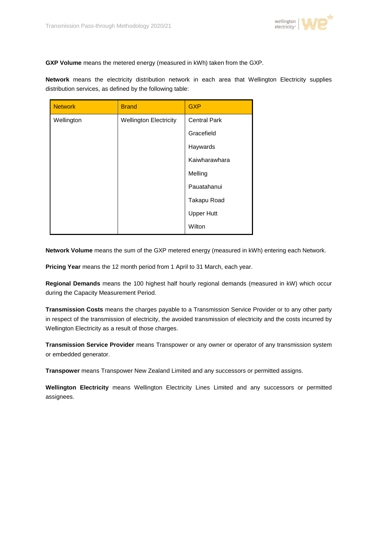

**GXP Volume** means the metered energy (measured in kWh) taken from the GXP.

**Network** means the electricity distribution network in each area that Wellington Electricity supplies distribution services, as defined by the following table:

| <b>Network</b> | <b>Brand</b>                  | <b>GXP</b>          |  |
|----------------|-------------------------------|---------------------|--|
| Wellington     | <b>Wellington Electricity</b> | <b>Central Park</b> |  |
|                |                               | Gracefield          |  |
|                |                               | Haywards            |  |
|                |                               | Kaiwharawhara       |  |
|                |                               | Melling             |  |
|                |                               | Pauatahanui         |  |
|                |                               | Takapu Road         |  |
|                |                               | <b>Upper Hutt</b>   |  |
|                |                               | Wilton              |  |

**Network Volume** means the sum of the GXP metered energy (measured in kWh) entering each Network.

**Pricing Year** means the 12 month period from 1 April to 31 March, each year.

**Regional Demands** means the 100 highest half hourly regional demands (measured in kW) which occur during the Capacity Measurement Period.

**Transmission Costs** means the charges payable to a Transmission Service Provider or to any other party in respect of the transmission of electricity, the avoided transmission of electricity and the costs incurred by Wellington Electricity as a result of those charges.

**Transmission Service Provider** means Transpower or any owner or operator of any transmission system or embedded generator.

**Transpower** means Transpower New Zealand Limited and any successors or permitted assigns.

**Wellington Electricity** means Wellington Electricity Lines Limited and any successors or permitted assignees.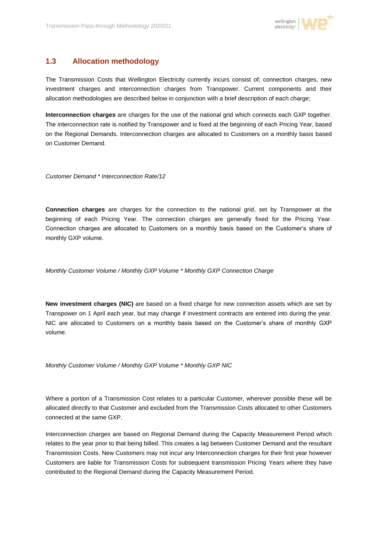

## **1.3 Allocation methodology**

The Transmission Costs that Wellington Electricity currently incurs consist of; connection charges, new investment charges and interconnection charges from Transpower. Current components and their allocation methodologies are described below in conjunction with a brief description of each charge;

**Interconnection charges** are charges for the use of the national grid which connects each GXP together. The interconnection rate is notified by Transpower and is fixed at the beginning of each Pricing Year, based on the Regional Demands. Interconnection charges are allocated to Customers on a monthly basis based on Customer Demand.

*Customer Demand \* Interconnection Rate/12*

**Connection charges** are charges for the connection to the national grid, set by Transpower at the beginning of each Pricing Year. The connection charges are generally fixed for the Pricing Year. Connection charges are allocated to Customers on a monthly basis based on the Customer's share of monthly GXP volume.

*Monthly Customer Volume / Monthly GXP Volume \* Monthly GXP Connection Charge*

**New investment charges (NIC)** are based on a fixed charge for new connection assets which are set by Transpower on 1 April each year, but may change if investment contracts are entered into during the year. NIC are allocated to Customers on a monthly basis based on the Customer's share of monthly GXP volume.

*Monthly Customer Volume / Monthly GXP Volume \* Monthly GXP NIC*

Where a portion of a Transmission Cost relates to a particular Customer, wherever possible these will be allocated directly to that Customer and excluded from the Transmission Costs allocated to other Customers connected at the same GXP.

Interconnection charges are based on Regional Demand during the Capacity Measurement Period which relates to the year prior to that being billed. This creates a lag between Customer Demand and the resultant Transmission Costs. New Customers may not incur any Interconnection charges for their first year however Customers are liable for Transmission Costs for subsequent transmission Pricing Years where they have contributed to the Regional Demand during the Capacity Measurement Period.